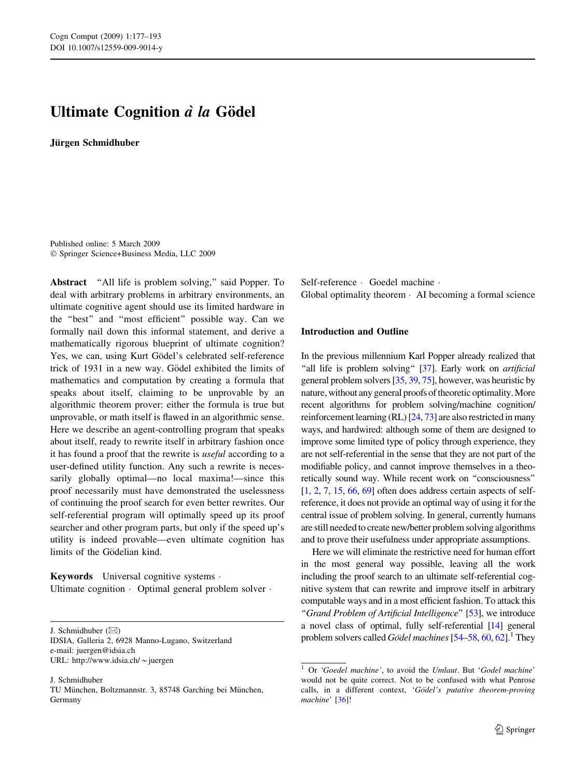# Ultimate Cognition  $\hat{a}$  la Gödel

Jürgen Schmidhuber

Published online: 5 March 2009 ! Springer Science+Business Media, LLC 2009

Abstract "All life is problem solving," said Popper. To deal with arbitrary problems in arbitrary environments, an ultimate cognitive agent should use its limited hardware in the ''best'' and ''most efficient'' possible way. Can we formally nail down this informal statement, and derive a mathematically rigorous blueprint of ultimate cognition? Yes, we can, using Kurt Gödel's celebrated self-reference trick of 1931 in a new way. Gödel exhibited the limits of mathematics and computation by creating a formula that speaks about itself, claiming to be unprovable by an algorithmic theorem prover: either the formula is true but unprovable, or math itself is flawed in an algorithmic sense. Here we describe an agent-controlling program that speaks about itself, ready to rewrite itself in arbitrary fashion once it has found a proof that the rewrite is useful according to a user-defined utility function. Any such a rewrite is necessarily globally optimal—no local maxima!—since this proof necessarily must have demonstrated the uselessness of continuing the proof search for even better rewrites. Our self-referential program will optimally speed up its proof searcher and other program parts, but only if the speed up's utility is indeed provable—even ultimate cognition has limits of the Gödelian kind.

Keywords Universal cognitive systems . Ultimate cognition  $\cdot$  Optimal general problem solver  $\cdot$ 

IDSIA, Galleria 2, 6928 Manno-Lugano, Switzerland e-mail: juergen@idsia.ch URL: http://www.idsia.ch/ $\sim$ juergen

J. Schmidhuber

Self-reference · Goedel machine · Global optimality theorem  $\cdot$  AI becoming a formal science

# Introduction and Outline

In the previous millennium Karl Popper already realized that "all life is problem solving" [\[37\]](#page-15-0). Early work on artificial general problem solvers [\[35](#page-15-0), [39](#page-15-0), [75\]](#page-16-0), however, was heuristic by nature, without any general proofs of theoretic optimality. More recent algorithms for problem solving/machine cognition/ reinforcement learning (RL) [\[24,](#page-15-0) [73](#page-16-0)] are also restricted in many ways, and hardwired: although some of them are designed to improve some limited type of policy through experience, they are not self-referential in the sense that they are not part of the modifiable policy, and cannot improve themselves in a theoretically sound way. While recent work on ''consciousness'' [\[1](#page-14-0), [2,](#page-14-0) [7,](#page-15-0) [15](#page-15-0), [66](#page-16-0), [69\]](#page-16-0) often does address certain aspects of selfreference, it does not provide an optimal way of using it for the central issue of problem solving. In general, currently humans are still needed to create new/better problem solving algorithms and to prove their usefulness under appropriate assumptions.

Here we will eliminate the restrictive need for human effort in the most general way possible, leaving all the work including the proof search to an ultimate self-referential cognitive system that can rewrite and improve itself in arbitrary computable ways and in a most efficient fashion. To attack this "Grand Problem of Artificial Intelligence" [[53](#page-16-0)], we introduce a novel class of optimal, fully self-referential [\[14](#page-15-0)] general *a* nover class of optimal, runy sen-referential  $\begin{bmatrix} 14 \end{bmatrix}$  general problem solvers called Godel machines  $\begin{bmatrix} 54-58, 60, 62 \end{bmatrix}$  $\begin{bmatrix} 54-58, 60, 62 \end{bmatrix}$  $\begin{bmatrix} 54-58, 60, 62 \end{bmatrix}$  $\begin{bmatrix} 54-58, 60, 62 \end{bmatrix}$  $\begin{bmatrix} 54-58, 60, 62 \end{bmatrix}$ . They  $\begin{bmatrix} 18 & 36 & 60 \end{bmatrix}$  They

<span id="page-0-0"></span>TU München, Boltzmannstr. 3, 85748 Garching bei München, Germany

 $\overline{1\ \text{Or}}$  'Goedel machine', to avoid the Umlaut. But 'Godel machine' would not be quite correct. Not to be confused with what Penrose calls, in a different context, 'Gödel's putative theorem-proving machine' [\[36\]](#page-15-0)!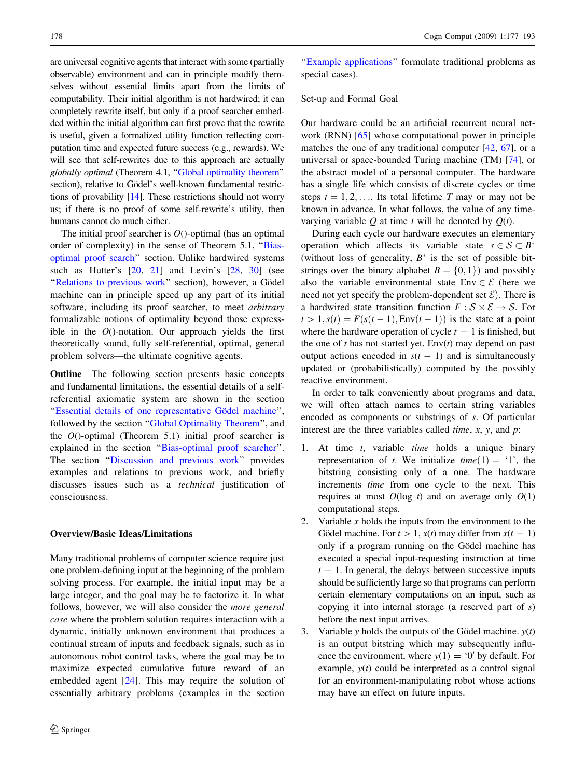are universal cognitive agents that interact with some (partially observable) environment and can in principle modify themselves without essential limits apart from the limits of computability. Their initial algorithm is not hardwired; it can completely rewrite itself, but only if a proof searcher embedded within the initial algorithm can first prove that the rewrite is useful, given a formalized utility function reflecting computation time and expected future success (e.g., rewards). We will see that self-rewrites due to this approach are actually globally optimal (Theorem 4.1, '['Global optimality theorem'](#page-6-0)' section), relative to Gödel's well-known fundamental restrictions of provability [\[14\]](#page-15-0). These restrictions should not worry us; if there is no proof of some self-rewrite's utility, then humans cannot do much either.

The initial proof searcher is  $O($ )-optimal (has an optimal order of complexity) in the sense of Theorem 5.1, "Bias[optimal proof search](#page-8-0)'' section. Unlike hardwired systems such as Hutter's  $[20, 21]$  $[20, 21]$  $[20, 21]$  $[20, 21]$  and Levin's  $[28, 30]$  $[28, 30]$  $[28, 30]$  $[28, 30]$  $[28, 30]$  (see "[Relations to previous work](#page-11-0)" section), however, a Gödel machine can in principle speed up any part of its initial software, including its proof searcher, to meet *arbitrary* formalizable notions of optimality beyond those expressible in the  $O($ )-notation. Our approach yields the first theoretically sound, fully self-referential, optimal, general problem solvers—the ultimate cognitive agents.

Outline The following section presents basic concepts and fundamental limitations, the essential details of a selfreferential axiomatic system are shown in the section "Essential details of one representative Gödel machine", followed by the section ''[Global Optimality Theorem](#page-6-0)'', and the  $O($ -optimal (Theorem 5.1) initial proof searcher is explained in the section '['Bias-optimal proof searcher](#page-8-0)''. The section '['Discussion and previous work](#page-9-0)'' provides examples and relations to previous work, and briefly discusses issues such as a technical justification of consciousness.

### Overview/Basic Ideas/Limitations

<span id="page-1-0"></span>Many traditional problems of computer science require just one problem-defining input at the beginning of the problem solving process. For example, the initial input may be a large integer, and the goal may be to factorize it. In what follows, however, we will also consider the more general case where the problem solution requires interaction with a dynamic, initially unknown environment that produces a continual stream of inputs and feedback signals, such as in autonomous robot control tasks, where the goal may be to maximize expected cumulative future reward of an embedded agent [\[24](#page-15-0)]. This may require the solution of essentially arbitrary problems (examples in the section

''[Example applications](#page-10-0)'' formulate traditional problems as special cases).

# Set-up and Formal Goal

Our hardware could be an artificial recurrent neural net-work (RNN) [[65\]](#page-16-0) whose computational power in principle matches the one of any traditional computer [[42](#page-15-0), [67](#page-16-0)], or a universal or space-bounded Turing machine (TM) [[74\]](#page-16-0), or the abstract model of a personal computer. The hardware has a single life which consists of discrete cycles or time steps  $t = 1, 2, \ldots$  Its total lifetime T may or may not be known in advance. In what follows, the value of any timevarying variable  $Q$  at time t will be denoted by  $Q(t)$ .

During each cycle our hardware executes an elementary operation which affects its variable state  $s \in \mathcal{S} \subset B^*$ (without loss of generality,  $B^*$  is the set of possible bitstrings over the binary alphabet  $B = \{0, 1\}$  and possibly also the variable environmental state  $Env \in \mathcal{E}$  (here we need not yet specify the problem-dependent set  $\mathcal{E}$ ). There is a hardwired state transition function  $F : \mathcal{S} \times \mathcal{E} \rightarrow \mathcal{S}$ . For  $t > 1$ ,  $s(t) = F(s(t - 1), Env(t - 1))$  is the state at a point where the hardware operation of cycle  $t - 1$  is finished, but the one of  $t$  has not started yet. Env( $t$ ) may depend on past output actions encoded in  $s(t - 1)$  and is simultaneously updated or (probabilistically) computed by the possibly reactive environment.

In order to talk conveniently about programs and data, we will often attach names to certain string variables encoded as components or substrings of s. Of particular interest are the three variables called *time*,  $x$ ,  $y$ , and  $p$ :

- 1. At time  $t$ , variable *time* holds a unique binary representation of t. We initialize  $time(1) = '1'$ , the bitstring consisting only of a one. The hardware increments time from one cycle to the next. This requires at most  $O(\log t)$  and on average only  $O(1)$ computational steps.
- 2. Variable  $x$  holds the inputs from the environment to the Gödel machine. For  $t > 1$ ,  $x(t)$  may differ from  $x(t - 1)$ only if a program running on the Gödel machine has executed a special input-requesting instruction at time  $t - 1$ . In general, the delays between successive inputs should be sufficiently large so that programs can perform certain elementary computations on an input, such as copying it into internal storage (a reserved part of s) before the next input arrives.
- 3. Variable y holds the outputs of the Gödel machine.  $y(t)$ is an output bitstring which may subsequently influence the environment, where  $y(1) = '0'$  by default. For example,  $y(t)$  could be interpreted as a control signal for an environment-manipulating robot whose actions may have an effect on future inputs.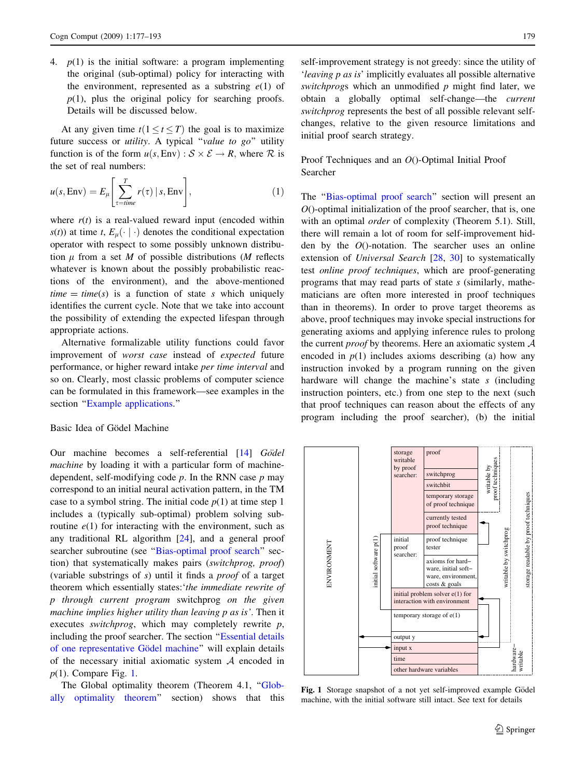4.  $p(1)$  is the initial software: a program implementing the original (sub-optimal) policy for interacting with the environment, represented as a substring  $e(1)$  of  $p(1)$ , plus the original policy for searching proofs. Details will be discussed below.

At any given time  $t(1 \le t \le T)$  the goal is to maximize future success or *utility*. A typical "*value to go*" utility function is of the form  $u(s, Env) : S \times E \rightarrow R$ , where R is the set of real numbers:

$$
u(s, \text{Env}) = E_{\mu} \left[ \sum_{\tau = time}^{T} r(\tau) \, | \, s, \text{Env} \right], \tag{1}
$$

where  $r(t)$  is a real-valued reward input (encoded within  $s(t)$  at time t,  $E_u(\cdot | \cdot)$  denotes the conditional expectation operator with respect to some possibly unknown distribution  $\mu$  from a set M of possible distributions (M reflects whatever is known about the possibly probabilistic reactions of the environment), and the above-mentioned  $time = time(s)$  is a function of state s which uniquely identifies the current cycle. Note that we take into account the possibility of extending the expected lifespan through appropriate actions.

Alternative formalizable utility functions could favor improvement of worst case instead of expected future performance, or higher reward intake per time interval and so on. Clearly, most classic problems of computer science can be formulated in this framework—see examples in the section "Example applications."

# Basic Idea of Gödel Machine

Our machine becomes a self-referential [\[14](#page-15-0)] Gödel machine by loading it with a particular form of machinedependent, self-modifying code  $p$ . In the RNN case  $p$  may correspond to an initial neural activation pattern, in the TM case to a symbol string. The initial code  $p(1)$  at time step 1 includes a (typically sub-optimal) problem solving subroutine  $e(1)$  for interacting with the environment, such as any traditional RL algorithm [[24\]](#page-15-0), and a general proof searcher subroutine (see "Bias-optimal proof search" section) that systematically makes pairs (switchprog, proof) (variable substrings of s) until it finds a proof of a target theorem which essentially states:'the immediate rewrite of p through current program switchprog on the given machine implies higher utility than leaving p as is'. Then it executes *switchprog*, which may completely rewrite  $p$ , including the proof searcher. The section "Essential details of one representative Gödel machine" will explain details of the necessary initial axiomatic system  $A$  encoded in  $p(1)$ . Compare Fig. [1.](#page-2-0)

<span id="page-2-0"></span>The Global optimality theorem (Theorem 4.1, "[Glob](#page-6-0)[ally optimality theorem](#page-6-0)'' section) shows that this self-improvement strategy is not greedy: since the utility of 'leaving p as is' implicitly evaluates all possible alternative switchprogs which an unmodified  $p$  might find later, we obtain a globally optimal self-change—the current switchprog represents the best of all possible relevant selfchanges, relative to the given resource limitations and initial proof search strategy.

# Proof Techniques and an O()-Optimal Initial Proof Searcher

The ''[Bias-optimal proof search](#page-8-0)'' section will present an  $O($ )-optimal initialization of the proof searcher, that is, one with an optimal *order* of complexity (Theorem 5.1). Still, there will remain a lot of room for self-improvement hidden by the  $O($ -notation. The searcher uses an online extension of Universal Search [\[28](#page-15-0), [30](#page-15-0)] to systematically test online proof techniques, which are proof-generating programs that may read parts of state s (similarly, mathematicians are often more interested in proof techniques than in theorems). In order to prove target theorems as above, proof techniques may invoke special instructions for generating axioms and applying inference rules to prolong the current *proof* by theorems. Here an axiomatic system  $A$ encoded in  $p(1)$  includes axioms describing (a) how any instruction invoked by a program running on the given hardware will change the machine's state s (including instruction pointers, etc.) from one step to the next (such that proof techniques can reason about the effects of any program including the proof searcher), (b) the initial



Fig. 1 Storage snapshot of a not yet self-improved example Gödel machine, with the initial software still intact. See text for details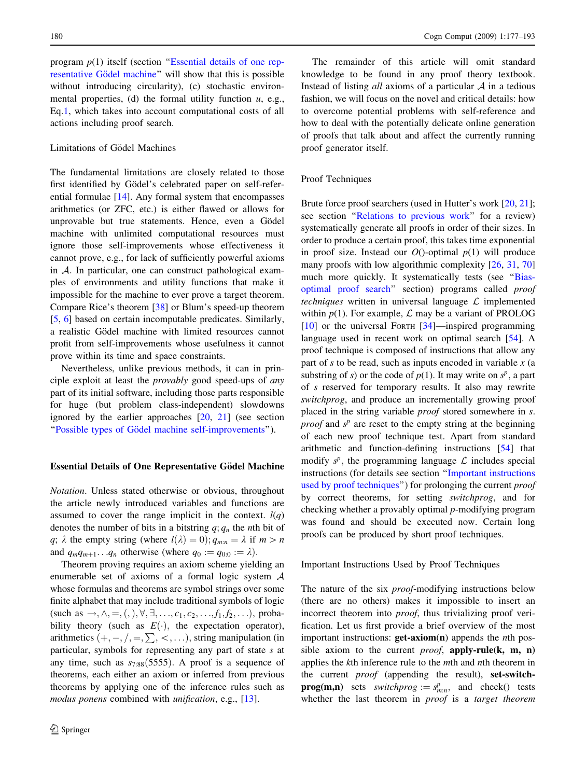program  $p(1)$  itself (section "Essential details of one representative Gödel machine" will show that this is possible without introducing circularity), (c) stochastic environmental properties, (d) the formal utility function  $u$ , e.g., Eq.[1,](#page-2-0) which takes into account computational costs of all actions including proof search.

# Limitations of Gödel Machines

The fundamental limitations are closely related to those first identified by Gödel's celebrated paper on self-referential formulae [\[14](#page-15-0)]. Any formal system that encompasses arithmetics (or ZFC, etc.) is either flawed or allows for unprovable but true statements. Hence, even a Gödel machine with unlimited computational resources must ignore those self-improvements whose effectiveness it cannot prove, e.g., for lack of sufficiently powerful axioms in  $A$ . In particular, one can construct pathological examples of environments and utility functions that make it impossible for the machine to ever prove a target theorem. Compare Rice's theorem [[38\]](#page-15-0) or Blum's speed-up theorem [\[5](#page-15-0), [6\]](#page-15-0) based on certain incomputable predicates. Similarly, a realistic Gödel machine with limited resources cannot profit from self-improvements whose usefulness it cannot prove within its time and space constraints.

Nevertheless, unlike previous methods, it can in principle exploit at least the provably good speed-ups of any part of its initial software, including those parts responsible for huge (but problem class-independent) slowdowns ignored by the earlier approaches  $[20, 21]$  $[20, 21]$  $[20, 21]$  $[20, 21]$  (see section "Possible types of Gödel machine self-improvements").

#### Essential Details of One Representative Gödel Machine

Notation. Unless stated otherwise or obvious, throughout the article newly introduced variables and functions are assumed to cover the range implicit in the context.  $l(q)$ denotes the number of bits in a bitstring  $q; q_n$  the *n*th bit of q;  $\lambda$  the empty string (where  $l(\lambda) = 0$ );  $q_{m:n} = \lambda$  if  $m > n$ and  $q_m q_{m+1} \dots q_n$  otherwise (where  $q_0 := q_{0:0} := \lambda$ ).

<span id="page-3-0"></span>Theorem proving requires an axiom scheme yielding an enumerable set of axioms of a formal logic system A whose formulas and theorems are symbol strings over some finite alphabet that may include traditional symbols of logic (such as  $\to, \wedge, =, (, ), \forall, \exists, \ldots, c_1, c_2, \ldots, f_1, f_2, \ldots)$ , probability theory (such as  $E(\cdot)$ , the expectation operator), arithmetics  $(+, -, /, =, \sum, <, ...),$  string manipulation (in particular, symbols for representing any part of state  $s$  at any time, such as  $s_{7:88}(5555)$ . A proof is a sequence of theorems, each either an axiom or inferred from previous theorems by applying one of the inference rules such as modus ponens combined with *unification*, e.g., [\[13](#page-15-0)].

The remainder of this article will omit standard knowledge to be found in any proof theory textbook. Instead of listing *all* axioms of a particular  $A$  in a tedious fashion, we will focus on the novel and critical details: how to overcome potential problems with self-reference and how to deal with the potentially delicate online generation of proofs that talk about and affect the currently running proof generator itself.

#### Proof Techniques

Brute force proof searchers (used in Hutter's work [\[20](#page-15-0), [21](#page-15-0)]; see section '['Relations to previous work'](#page-11-0)' for a review) systematically generate all proofs in order of their sizes. In order to produce a certain proof, this takes time exponential in proof size. Instead our  $O($ -optimal  $p(1)$  will produce many proofs with low algorithmic complexity [[26,](#page-15-0) [31](#page-15-0), [70\]](#page-16-0) much more quickly. It systematically tests (see "Bias[optimal proof search](#page-8-0)'' section) programs called proof techniques written in universal language  $\mathcal L$  implemented within  $p(1)$ . For example,  $\mathcal L$  may be a variant of PROLOG [\[10](#page-15-0)] or the universal FORTH [[34\]](#page-15-0)—inspired programming language used in recent work on optimal search [[54](#page-16-0)]. A proof technique is composed of instructions that allow any part of s to be read, such as inputs encoded in variable  $x$  (a substring of s) or the code of  $p(1)$ . It may write on  $s^p$ , a part of s reserved for temporary results. It also may rewrite switchprog, and produce an incrementally growing proof placed in the string variable proof stored somewhere in s. *proof* and  $s<sup>p</sup>$  are reset to the empty string at the beginning of each new proof technique test. Apart from standard arithmetic and function-defining instructions [[54\]](#page-16-0) that modify  $s^p$ , the programming language  $\mathcal L$  includes special instructions (for details see section '['Important instructions](#page-3-0) [used by proof techniques'](#page-3-0)') for prolonging the current proof by correct theorems, for setting switchprog, and for checking whether a provably optimal p-modifying program was found and should be executed now. Certain long proofs can be produced by short proof techniques.

Important Instructions Used by Proof Techniques

The nature of the six *proof*-modifying instructions below (there are no others) makes it impossible to insert an incorrect theorem into *proof*, thus trivializing proof verification. Let us first provide a brief overview of the most important instructions:  $get\text{-axiom}(n)$  appends the *n*th possible axiom to the current *proof*, **apply-rule**( $\bf{k}$ ,  $\bf{m}$ ,  $\bf{n}$ ) applies the kth inference rule to the mth and nth theorem in the current *proof* (appending the result), set-switch**prog(m,n)** sets *switchprog*  $:= s_{m:n}^p$ , and check() tests whether the last theorem in *proof* is a *target theorem*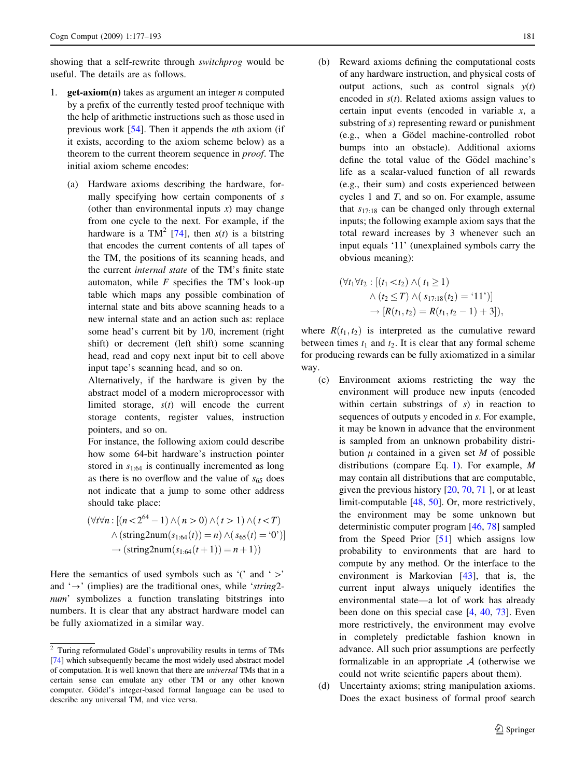showing that a self-rewrite through *switchprog* would be useful. The details are as follows.

- 1. **get-axiom(n)** takes as argument an integer *n* computed by a prefix of the currently tested proof technique with the help of arithmetic instructions such as those used in previous work [[54\]](#page-16-0). Then it appends the nth axiom (if it exists, according to the axiom scheme below) as a theorem to the current theorem sequence in proof. The initial axiom scheme encodes:
	- (a) Hardware axioms describing the hardware, formally specifying how certain components of s (other than environmental inputs  $x$ ) may change from one cycle to the next. For example, if the hardware is a TM<sup>2</sup> [[74\]](#page-16-0), then  $s(t)$  is a bitstring that encodes the current contents of all tapes of the TM, the positions of its scanning heads, and the current internal state of the TM's finite state automaton, while  $F$  specifies the TM's look-up table which maps any possible combination of internal state and bits above scanning heads to a new internal state and an action such as: replace some head's current bit by 1/0, increment (right shift) or decrement (left shift) some scanning head, read and copy next input bit to cell above input tape's scanning head, and so on.

Alternatively, if the hardware is given by the abstract model of a modern microprocessor with limited storage,  $s(t)$  will encode the current storage contents, register values, instruction pointers, and so on.

For instance, the following axiom could describe how some 64-bit hardware's instruction pointer stored in  $s_{1:64}$  is continually incremented as long as there is no overflow and the value of  $s_{65}$  does not indicate that a jump to some other address should take place:

 $(\forall t \forall n : [(n < 2^{64} - 1) \land (n > 0) \land (t > 1) \land (t < T)]$  $\wedge$  (string2num $(s_{1:64}(t)) = n$ )  $\wedge$   $(s_{65}(t) = '0')$  $\rightarrow$  (string2num $(s_{1:64}(t+1)) = n + 1)$ )

Here the semantics of used symbols such as '(' and ' $>$ ' and  $\rightarrow$  (implies) are the traditional ones, while 'string2num' symbolizes a function translating bitstrings into numbers. It is clear that any abstract hardware model can be fully axiomatized in a similar way.

(b) Reward axioms defining the computational costs of any hardware instruction, and physical costs of output actions, such as control signals  $y(t)$ encoded in  $s(t)$ . Related axioms assign values to certain input events (encoded in variable x, a substring of s) representing reward or punishment (e.g., when a Gödel machine-controlled robot bumps into an obstacle). Additional axioms define the total value of the Gödel machine's life as a scalar-valued function of all rewards (e.g., their sum) and costs experienced between cycles 1 and T, and so on. For example, assume that  $s_{17:18}$  can be changed only through external inputs; the following example axiom says that the total reward increases by 3 whenever such an input equals '11' (unexplained symbols carry the obvious meaning):

$$
(\forall t_1 \forall t_2 : [(t_1 < t_2) \land (t_1 \ge 1) \land (t_2 \le T) \land (s_{17:18}(t_2) = '11')] \n\to [R(t_1, t_2) = R(t_1, t_2 - 1) + 3]),
$$

where  $R(t_1, t_2)$  is interpreted as the cumulative reward between times  $t_1$  and  $t_2$ . It is clear that any formal scheme for producing rewards can be fully axiomatized in a similar way.

- (c) Environment axioms restricting the way the environment will produce new inputs (encoded within certain substrings of s) in reaction to sequences of outputs y encoded in s. For example, it may be known in advance that the environment is sampled from an unknown probability distribution  $\mu$  contained in a given set M of possible distributions (compare Eq. [1\)](#page-2-0). For example, M may contain all distributions that are computable, given the previous history [[20,](#page-15-0) [70,](#page-16-0) [71](#page-16-0) ], or at least limit-computable [\[48](#page-15-0), [50\]](#page-15-0). Or, more restrictively, the environment may be some unknown but deterministic computer program [[46,](#page-15-0) [78\]](#page-16-0) sampled from the Speed Prior [\[51](#page-15-0)] which assigns low probability to environments that are hard to compute by any method. Or the interface to the environment is Markovian [[43\]](#page-15-0), that is, the current input always uniquely identifies the environmental state—a lot of work has already been done on this special case [\[4](#page-14-0), [40](#page-15-0), [73](#page-16-0)]. Even more restrictively, the environment may evolve in completely predictable fashion known in advance. All such prior assumptions are perfectly formalizable in an appropriate  $A$  (otherwise we could not write scientific papers about them).
- (d) Uncertainty axioms; string manipulation axioms. Does the exact business of formal proof search

 $2$  Turing reformulated Gödel's unprovability results in terms of TMs [[74](#page-16-0)] which subsequently became the most widely used abstract model of computation. It is well known that there are universal TMs that in a certain sense can emulate any other TM or any other known computer. Gödel's integer-based formal language can be used to describe any universal TM, and vice versa.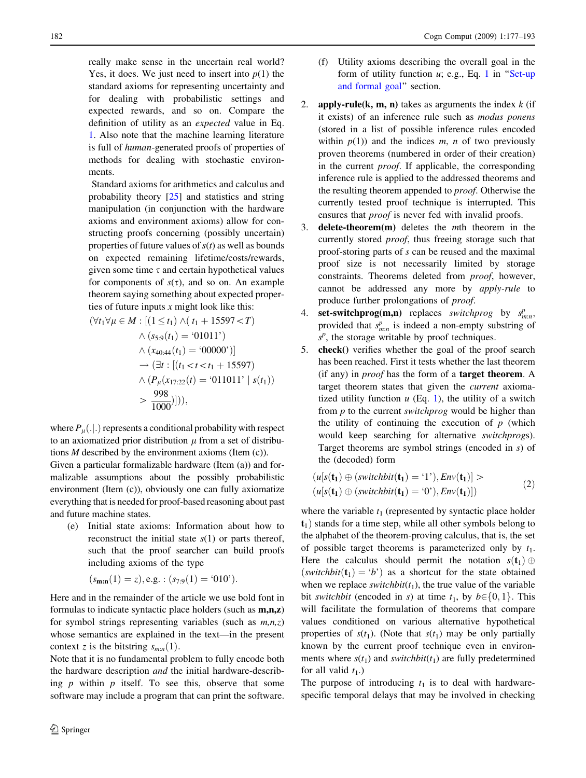really make sense in the uncertain real world? Yes, it does. We just need to insert into  $p(1)$  the standard axioms for representing uncertainty and for dealing with probabilistic settings and expected rewards, and so on. Compare the definition of utility as an expected value in Eq. [1](#page-2-0). Also note that the machine learning literature is full of human-generated proofs of properties of methods for dealing with stochastic environments.

Standard axioms for arithmetics and calculus and probability theory [[25\]](#page-15-0) and statistics and string manipulation (in conjunction with the hardware axioms and environment axioms) allow for constructing proofs concerning (possibly uncertain) properties of future values of  $s(t)$  as well as bounds on expected remaining lifetime/costs/rewards, given some time  $\tau$  and certain hypothetical values for components of  $s(\tau)$ , and so on. An example theorem saying something about expected properties of future inputs  $x$  might look like this:

$$
(\forall t_1 \forall \mu \in M : [(1 \le t_1) \land (t_1 + 15597 < T) \land (s_5 \cdot 9(t_1) = '01011') \land (x_{40 \cdot 44}(t_1) = '00000')] \rightarrow (\exists t : [(t_1 < t < t_1 + 15597) \land (P_\mu(x_{17:22}(t) = '011011' | s(t_1)) > \frac{998}{1000})]
$$
)),

where  $P_\mu(.)$  represents a conditional probability with respect to an axiomatized prior distribution  $\mu$  from a set of distributions M described by the environment axioms (Item (c)).

Given a particular formalizable hardware (Item (a)) and formalizable assumptions about the possibly probabilistic environment (Item (c)), obviously one can fully axiomatize everything that is needed for proof-based reasoning about past and future machine states.

(e) Initial state axioms: Information about how to reconstruct the initial state  $s(1)$  or parts thereof, such that the proof searcher can build proofs including axioms of the type

$$
(s_{\mathbf{m}:\mathbf{n}}(1)=z), e.g.:(s_{7:9}(1)=`010').
$$

Here and in the remainder of the article we use bold font in formulas to indicate syntactic place holders (such as  $m,n,z$ ) for symbol strings representing variables (such as  $m, n, z$ ) whose semantics are explained in the text—in the present context z is the bitstring  $s_{m:n}(1)$ .

Note that it is no fundamental problem to fully encode both the hardware description and the initial hardware-describing  $p$  within  $p$  itself. To see this, observe that some software may include a program that can print the software.

- (f) Utility axioms describing the overall goal in the form of utility function  $u$ ; e.g., Eq. [1](#page-2-0) in "Set-up" [and formal goal'](#page-1-0)' section.
- 2. **apply-rule(k, m, n)** takes as arguments the index  $k$  (if it exists) of an inference rule such as modus ponens (stored in a list of possible inference rules encoded within  $p(1)$  and the indices m, n of two previously proven theorems (numbered in order of their creation) in the current proof. If applicable, the corresponding inference rule is applied to the addressed theorems and the resulting theorem appended to proof. Otherwise the currently tested proof technique is interrupted. This ensures that *proof* is never fed with invalid proofs.
- 3. delete-theorem $(m)$  deletes the *mth* theorem in the currently stored proof, thus freeing storage such that proof-storing parts of s can be reused and the maximal proof size is not necessarily limited by storage constraints. Theorems deleted from proof, however, cannot be addressed any more by apply-rule to produce further prolongations of proof.
- 4. **set-switchprog(m,n)** replaces *switchprog* by  $s_{m:n}^p$ , provided that  $s_{m:n}^p$  is indeed a non-empty substring of  $s^p$ , the storage writable by proof techniques.
- 5. check() verifies whether the goal of the proof search has been reached. First it tests whether the last theorem (if any) in  $proof$  has the form of a **target theorem**. A target theorem states that given the current axiomatized utility function  $u$  (Eq. [1](#page-2-0)), the utility of a switch from p to the current *switchprog* would be higher than the utility of continuing the execution of  $p$  (which would keep searching for alternative switchprogs). Target theorems are symbol strings (encoded in s) of the (decoded) form

$$
(u[s(t1) \oplus (switchbit(t1) = '1'), Env(t1)] >(u[s(t1) \oplus (switchbit(t1) = '0'), Env(t1)])
$$
\n(2)

where the variable  $t_1$  (represented by syntactic place holder  $t_1$ ) stands for a time step, while all other symbols belong to the alphabet of the theorem-proving calculus, that is, the set of possible target theorems is parameterized only by  $t_1$ . Here the calculus should permit the notation  $s(t_1) \oplus$  $(switchbit(t<sub>1</sub>) = 'b')$  as a shortcut for the state obtained when we replace  $switchbit(t_1)$ , the true value of the variable bit switchbit (encoded in s) at time  $t_1$ , by  $b \in \{0, 1\}$ . This will facilitate the formulation of theorems that compare values conditioned on various alternative hypothetical properties of  $s(t_1)$ . (Note that  $s(t_1)$  may be only partially known by the current proof technique even in environments where  $s(t_1)$  and switchbit( $t_1$ ) are fully predetermined for all valid  $t_1$ .)

The purpose of introducing  $t_1$  is to deal with hardwarespecific temporal delays that may be involved in checking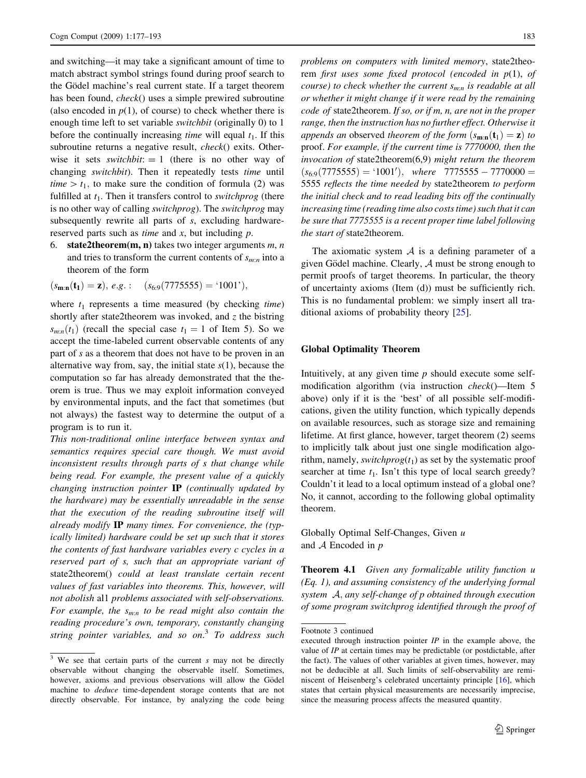and switching—it may take a significant amount of time to match abstract symbol strings found during proof search to the Gödel machine's real current state. If a target theorem has been found, *check()* uses a simple prewired subroutine (also encoded in  $p(1)$ , of course) to check whether there is enough time left to set variable switchbit (originally 0) to 1 before the continually increasing *time* will equal  $t_1$ . If this subroutine returns a negative result, check() exits. Otherwise it sets *switchbit*:  $= 1$  (there is no other way of changing switchbit). Then it repeatedly tests time until *time*  $>t_1$ , to make sure the condition of formula (2) was fulfilled at  $t_1$ . Then it transfers control to *switchprog* (there is no other way of calling switchprog). The switchprog may subsequently rewrite all parts of s, excluding hardwarereserved parts such as *time* and  $x$ , but including  $p$ .

6. state2theorem(m, n) takes two integer arguments  $m, n$ and tries to transform the current contents of  $s_{m:n}$  into a theorem of the form

$$
(s_{\mathbf{m}:\mathbf{n}}(\mathbf{t}_1)=\mathbf{z}), e.g. : (s_{6.9}(7775555) = '1001'),
$$

where  $t_1$  represents a time measured (by checking time) shortly after state2theorem was invoked, and z the bistring  $s_{mn}(t_1)$  (recall the special case  $t_1 = 1$  of Item 5). So we accept the time-labeled current observable contents of any part of s as a theorem that does not have to be proven in an alternative way from, say, the initial state  $s(1)$ , because the computation so far has already demonstrated that the theorem is true. Thus we may exploit information conveyed by environmental inputs, and the fact that sometimes (but not always) the fastest way to determine the output of a program is to run it.

This non-traditional online interface between syntax and semantics requires special care though. We must avoid inconsistent results through parts of s that change while being read. For example, the present value of a quickly changing instruction pointer IP (continually updated by the hardware) may be essentially unreadable in the sense that the execution of the reading subroutine itself will already modify  $IP$  many times. For convenience, the (typically limited) hardware could be set up such that it stores the contents of fast hardware variables every c cycles in a reserved part of s, such that an appropriate variant of state2theorem() could at least translate certain recent values of fast variables into theorems. This, however, will not abolish al1 problems associated with self-observations. For example, the  $s_{m:n}$  to be read might also contain the reading procedure's own, temporary, constantly changing string pointer variables, and so on.<sup>3</sup> To address such

problems on computers with limited memory, state2theorem first uses some fixed protocol (encoded in  $p(1)$ , of course) to check whether the current  $s_{m:n}$  is readable at all or whether it might change if it were read by the remaining code of state2theorem. If so, or if m, n, are not in the proper range, then the instruction has no further effect. Otherwise it appends an observed theorem of the form  $(s_{\mathbf{m}:\mathbf{n}}(\mathbf{t}_1)=\mathbf{z})$  to proof. For example, if the current time is 7770000, then the invocation of state2theorem(6,9) might return the theorem  $(s_{6.9}(7775555) = '1001'),$  where  $7775555 - 7770000 =$ 5555 reflects the time needed by state2theorem to perform the initial check and to read leading bits off the continually increasing time (reading time also costs time) such that it can be sure that 7775555 is a recent proper time label following the start of state2theorem.

The axiomatic system  $A$  is a defining parameter of a given Gödel machine. Clearly,  $A$  must be strong enough to permit proofs of target theorems. In particular, the theory of uncertainty axioms (Item (d)) must be sufficiently rich. This is no fundamental problem: we simply insert all traditional axioms of probability theory [[25](#page-15-0)].

#### Global Optimality Theorem

Intuitively, at any given time  $p$  should execute some selfmodification algorithm (via instruction check()—Item 5 above) only if it is the 'best' of all possible self-modifications, given the utility function, which typically depends on available resources, such as storage size and remaining lifetime. At first glance, however, target theorem (2) seems to implicitly talk about just one single modification algorithm, namely, switchprog $(t_1)$  as set by the systematic proof searcher at time  $t_1$ . Isn't this type of local search greedy? Couldn't it lead to a local optimum instead of a global one? No, it cannot, according to the following global optimality theorem.

Globally Optimal Self-Changes, Given u and  $A$  Encoded in  $p$ 

**Theorem 4.1** Given any formalizable utility function u (Eq. 1), and assuming consistency of the underlying formal system A; any self-change of p obtained through execution of some program switchprog identified through the proof of

<span id="page-6-0"></span> $\frac{3}{3}$  We see that certain parts of the current s may not be directly observable without changing the observable itself. Sometimes, however, axioms and previous observations will allow the Gödel machine to deduce time-dependent storage contents that are not directly observable. For instance, by analyzing the code being

Footnote 3 continued

executed through instruction pointer  $IP$  in the example above, the value of IP at certain times may be predictable (or postdictable, after the fact). The values of other variables at given times, however, may not be deducible at all. Such limits of self-observability are reminiscent of Heisenberg's celebrated uncertainty principle [[16](#page-15-0)], which states that certain physical measurements are necessarily imprecise, since the measuring process affects the measured quantity.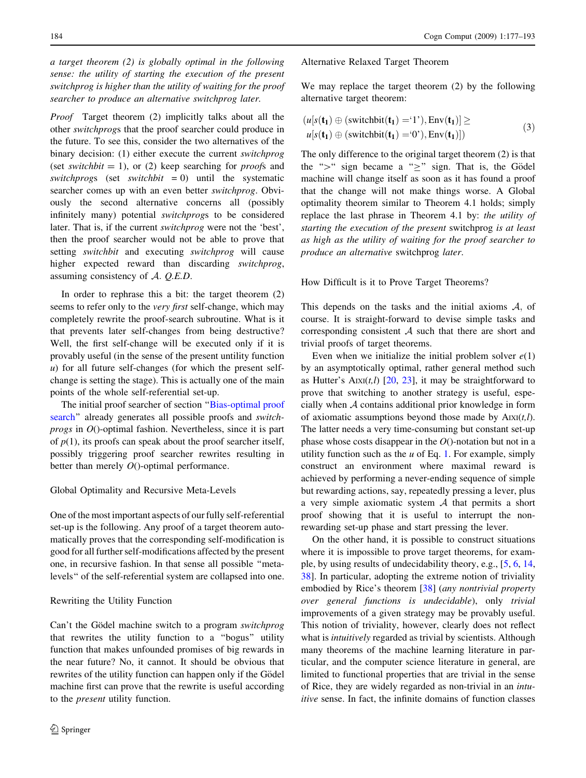a target theorem (2) is globally optimal in the following sense: the utility of starting the execution of the present switchprog is higher than the utility of waiting for the proof searcher to produce an alternative switchprog later.

Proof Target theorem (2) implicitly talks about all the other switchprogs that the proof searcher could produce in the future. To see this, consider the two alternatives of the binary decision: (1) either execute the current switchprog (set switchbit = 1), or (2) keep searching for *proofs* and switchprogs (set switchbit  $= 0$ ) until the systematic searcher comes up with an even better switchprog. Obviously the second alternative concerns all (possibly infinitely many) potential switchprogs to be considered later. That is, if the current switchprog were not the 'best', then the proof searcher would not be able to prove that setting switchbit and executing switchprog will cause higher expected reward than discarding *switchprog*, assuming consistency of  $A$ . Q.E.D.

In order to rephrase this a bit: the target theorem (2) seems to refer only to the *very first* self-change, which may completely rewrite the proof-search subroutine. What is it that prevents later self-changes from being destructive? Well, the first self-change will be executed only if it is provably useful (in the sense of the present untility function  $u$ ) for all future self-changes (for which the present selfchange is setting the stage). This is actually one of the main points of the whole self-referential set-up.

The initial proof searcher of section '['Bias-optimal proof](#page-8-0) search" already generates all possible proofs and *switchprogs* in  $O($ )-optimal fashion. Nevertheless, since it is part of  $p(1)$ , its proofs can speak about the proof searcher itself, possibly triggering proof searcher rewrites resulting in better than merely  $O($ )-optimal performance.

# Global Optimality and Recursive Meta-Levels

One of the most important aspects of our fully self-referential set-up is the following. Any proof of a target theorem automatically proves that the corresponding self-modification is good for all further self-modifications affected by the present one, in recursive fashion. In that sense all possible ''metalevels'' of the self-referential system are collapsed into one.

### Rewriting the Utility Function

<span id="page-7-0"></span>Can't the Gödel machine switch to a program switchprog that rewrites the utility function to a ''bogus'' utility function that makes unfounded promises of big rewards in the near future? No, it cannot. It should be obvious that rewrites of the utility function can happen only if the Gödel machine first can prove that the rewrite is useful according to the present utility function.

Alternative Relaxed Target Theorem

We may replace the target theorem (2) by the following alternative target theorem:

$$
(u[s(t_1) \oplus (switchbit(t_1) = '1'), Env(t_1)] \ge u[s(t_1) \oplus (switchbit(t_1) = '0'), Env(t_1)])
$$
\n(3)

The only difference to the original target theorem (2) is that the " $>$ " sign became a " $\geq$ " sign. That is, the Gödel machine will change itself as soon as it has found a proof that the change will not make things worse. A Global optimality theorem similar to Theorem 4.1 holds; simply replace the last phrase in Theorem 4.1 by: the utility of starting the execution of the present switchprog is at least as high as the utility of waiting for the proof searcher to produce an alternative switchprog later.

How Difficult is it to Prove Target Theorems?

This depends on the tasks and the initial axioms  $A$ , of course. It is straight-forward to devise simple tasks and corresponding consistent A such that there are short and trivial proofs of target theorems.

Even when we initialize the initial problem solver  $e(1)$ by an asymptotically optimal, rather general method such as Hutter's A $ix(t, l)$  [[20,](#page-15-0) [23\]](#page-15-0), it may be straightforward to prove that switching to another strategy is useful, especially when A contains additional prior knowledge in form of axiomatic assumptions beyond those made by  $AIXI(t,l)$ . The latter needs a very time-consuming but constant set-up phase whose costs disappear in the  $O($ )-notation but not in a utility function such as the  $u$  of Eq. [1](#page-2-0). For example, simply construct an environment where maximal reward is achieved by performing a never-ending sequence of simple but rewarding actions, say, repeatedly pressing a lever, plus a very simple axiomatic system  $A$  that permits a short proof showing that it is useful to interrupt the nonrewarding set-up phase and start pressing the lever.

On the other hand, it is possible to construct situations where it is impossible to prove target theorems, for example, by using results of undecidability theory, e.g., [[5,](#page-15-0) [6,](#page-15-0) [14,](#page-15-0) [38](#page-15-0)]. In particular, adopting the extreme notion of triviality embodied by Rice's theorem [[38\]](#page-15-0) (any nontrivial property over general functions is undecidable), only trivial improvements of a given strategy may be provably useful. This notion of triviality, however, clearly does not reflect what is *intuitively* regarded as trivial by scientists. Although many theorems of the machine learning literature in particular, and the computer science literature in general, are limited to functional properties that are trivial in the sense of Rice, they are widely regarded as non-trivial in an intuitive sense. In fact, the infinite domains of function classes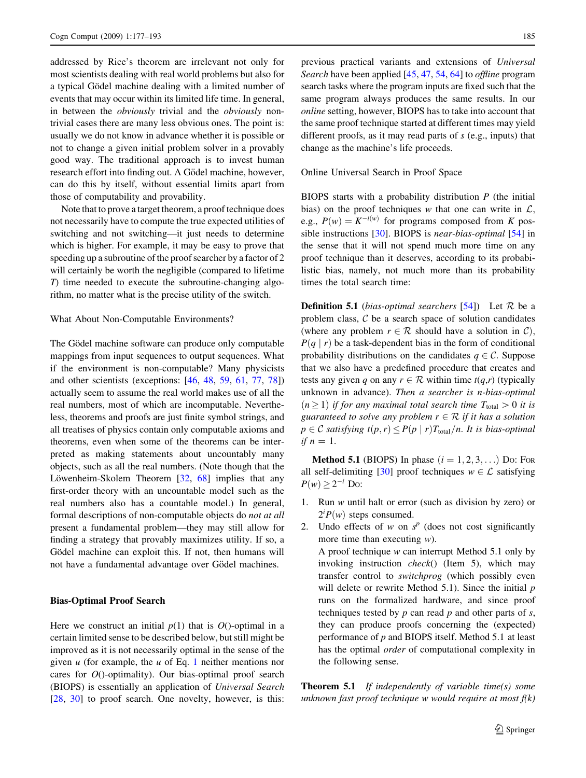addressed by Rice's theorem are irrelevant not only for most scientists dealing with real world problems but also for a typical Gödel machine dealing with a limited number of events that may occur within its limited life time. In general, in between the obviously trivial and the obviously nontrivial cases there are many less obvious ones. The point is: usually we do not know in advance whether it is possible or not to change a given initial problem solver in a provably good way. The traditional approach is to invest human research effort into finding out. A Gödel machine, however, can do this by itself, without essential limits apart from those of computability and provability.

Note that to prove a target theorem, a proof technique does not necessarily have to compute the true expected utilities of switching and not switching—it just needs to determine which is higher. For example, it may be easy to prove that speeding up a subroutine of the proof searcher by a factor of 2 will certainly be worth the negligible (compared to lifetime T) time needed to execute the subroutine-changing algorithm, no matter what is the precise utility of the switch.

#### What About Non-Computable Environments?

The Gödel machine software can produce only computable mappings from input sequences to output sequences. What if the environment is non-computable? Many physicists and other scientists (exceptions: [[46,](#page-15-0) [48](#page-15-0), [59](#page-16-0), [61,](#page-16-0) [77](#page-16-0), [78\]](#page-16-0)) actually seem to assume the real world makes use of all the real numbers, most of which are incomputable. Nevertheless, theorems and proofs are just finite symbol strings, and all treatises of physics contain only computable axioms and theorems, even when some of the theorems can be interpreted as making statements about uncountably many objects, such as all the real numbers. (Note though that the Löwenheim-Skolem Theorem  $[32, 68]$  $[32, 68]$  $[32, 68]$  $[32, 68]$  implies that any first-order theory with an uncountable model such as the real numbers also has a countable model.) In general, formal descriptions of non-computable objects do not at all present a fundamental problem—they may still allow for finding a strategy that provably maximizes utility. If so, a Gödel machine can exploit this. If not, then humans will not have a fundamental advantage over Gödel machines.

#### Bias-Optimal Proof Search

<span id="page-8-0"></span>Here we construct an initial  $p(1)$  that is  $O($ )-optimal in a certain limited sense to be described below, but still might be improved as it is not necessarily optimal in the sense of the given  $u$  (for example, the  $u$  of Eq. [1](#page-2-0) neither mentions nor cares for  $O($ -optimality). Our bias-optimal proof search (BIOPS) is essentially an application of Universal Search [\[28](#page-15-0), [30](#page-15-0)] to proof search. One novelty, however, is this: previous practical variants and extensions of Universal Search have been applied [\[45](#page-15-0), [47](#page-15-0), [54,](#page-16-0) [64\]](#page-16-0) to *offline* program search tasks where the program inputs are fixed such that the same program always produces the same results. In our online setting, however, BIOPS has to take into account that the same proof technique started at different times may yield different proofs, as it may read parts of s (e.g., inputs) that change as the machine's life proceeds.

Online Universal Search in Proof Space

BIOPS starts with a probability distribution  $P$  (the initial bias) on the proof techniques w that one can write in  $\mathcal{L}$ , e.g.,  $P(w) = K^{-l(w)}$  for programs composed from K possible instructions [\[30](#page-15-0)]. BIOPS is near-bias-optimal [\[54\]](#page-16-0) in the sense that it will not spend much more time on any proof technique than it deserves, according to its probabilistic bias, namely, not much more than its probability times the total search time:

**Definition 5.1** (bias-optimal searchers [\[54](#page-16-0)]) Let  $R$  be a problem class,  $C$  be a search space of solution candidates (where any problem  $r \in \mathcal{R}$  should have a solution in C),  $P(q | r)$  be a task-dependent bias in the form of conditional probability distributions on the candidates  $q \in \mathcal{C}$ . Suppose that we also have a predefined procedure that creates and tests any given q on any  $r \in \mathcal{R}$  within time  $t(q,r)$  (typically unknown in advance). Then a searcher is n-bias-optimal  $(n \geq 1)$  if for any maximal total search time  $T_{total} > 0$  it is guaranteed to solve any problem  $r \in \mathcal{R}$  if it has a solution  $p \in \mathcal{C}$  satisfying  $t(p,r) \leq P(p \mid r)T_{total}/n$ . It is bias-optimal if  $n = 1$ .

**Method 5.1** (BIOPS) In phase  $(i = 1, 2, 3, ...)$  Do: For all self-delimiting [\[30](#page-15-0)] proof techniques  $w \in \mathcal{L}$  satisfying  $P(w) > 2^{-i}$  Do:

- 1. Run w until halt or error (such as division by zero) or  $2^{i}P(w)$  steps consumed.
- 2. Undo effects of w on  $s^p$  (does not cost significantly more time than executing  $w$ ).

A proof technique  $w$  can interrupt Method 5.1 only by invoking instruction check() (Item 5), which may transfer control to switchprog (which possibly even will delete or rewrite Method 5.1). Since the initial  $p$ runs on the formalized hardware, and since proof techniques tested by  $p$  can read  $p$  and other parts of  $s$ , they can produce proofs concerning the (expected) performance of p and BIOPS itself. Method 5.1 at least has the optimal order of computational complexity in the following sense.

**Theorem 5.1** If independently of variable time(s) some unknown fast proof technique w would require at most  $f(k)$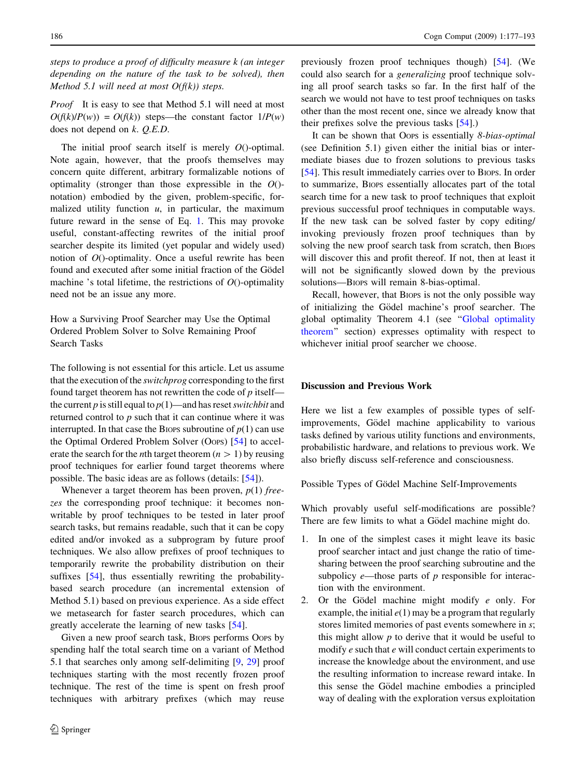steps to produce a proof of difficulty measure k (an integer depending on the nature of the task to be solved), then Method 5.1 will need at most  $O(f(k))$  steps.

Proof It is easy to see that Method 5.1 will need at most  $O(f(k)/P(w)) = O(f(k))$  steps—the constant factor  $1/P(w)$ does not depend on  $k$ .  $Q.E.D$ .

The initial proof search itself is merely  $O($ )-optimal. Note again, however, that the proofs themselves may concern quite different, arbitrary formalizable notions of optimality (stronger than those expressible in the  $O($ )notation) embodied by the given, problem-specific, formalized utility function  $u$ , in particular, the maximum future reward in the sense of Eq. [1.](#page-2-0) This may provoke useful, constant-affecting rewrites of the initial proof searcher despite its limited (yet popular and widely used) notion of  $O($ )-optimality. Once a useful rewrite has been found and executed after some initial fraction of the Gödel machine 's total lifetime, the restrictions of  $O($ )-optimality need not be an issue any more.

How a Surviving Proof Searcher may Use the Optimal Ordered Problem Solver to Solve Remaining Proof Search Tasks

The following is not essential for this article. Let us assume that the execution of the switchprog corresponding to the first found target theorem has not rewritten the code of  $p$  itself the current p is still equal to  $p(1)$ —and has reset *switchbit* and returned control to p such that it can continue where it was interrupted. In that case the BIOPS subroutine of  $p(1)$  can use the Optimal Ordered Problem Solver (OOPS) [[54\]](#page-16-0) to accelerate the search for the *n*th target theorem  $(n>1)$  by reusing proof techniques for earlier found target theorems where possible. The basic ideas are as follows (details: [\[54](#page-16-0)]).

Whenever a target theorem has been proven,  $p(1)$  freezes the corresponding proof technique: it becomes nonwritable by proof techniques to be tested in later proof search tasks, but remains readable, such that it can be copy edited and/or invoked as a subprogram by future proof techniques. We also allow prefixes of proof techniques to temporarily rewrite the probability distribution on their suffixes [[54\]](#page-16-0), thus essentially rewriting the probabilitybased search procedure (an incremental extension of Method 5.1) based on previous experience. As a side effect we metasearch for faster search procedures, which can greatly accelerate the learning of new tasks [[54\]](#page-16-0).

<span id="page-9-0"></span>Given a new proof search task, BIOPS performs OOPS by spending half the total search time on a variant of Method 5.1 that searches only among self-delimiting [\[9,](#page-15-0) [29\]](#page-15-0) proof techniques starting with the most recently frozen proof technique. The rest of the time is spent on fresh proof techniques with arbitrary prefixes (which may reuse previously frozen proof techniques though) [[54\]](#page-16-0). (We could also search for a generalizing proof technique solving all proof search tasks so far. In the first half of the search we would not have to test proof techniques on tasks other than the most recent one, since we already know that their prefixes solve the previous tasks [\[54](#page-16-0)].)

It can be shown that OOPS is essentially 8-bias-optimal (see Definition 5.1) given either the initial bias or intermediate biases due to frozen solutions to previous tasks [\[54](#page-16-0)]. This result immediately carries over to BIOPS. In order to summarize, BIOPS essentially allocates part of the total search time for a new task to proof techniques that exploit previous successful proof techniques in computable ways. If the new task can be solved faster by copy editing/ invoking previously frozen proof techniques than by solving the new proof search task from scratch, then BIOPS will discover this and profit thereof. If not, then at least it will not be significantly slowed down by the previous solutions—BIOPS will remain 8-bias-optimal.

Recall, however, that BIOPS is not the only possible way of initializing the Gödel machine's proof searcher. The global optimality Theorem 4.1 (see '['Global optimality](#page-6-0) [theorem](#page-6-0)'' section) expresses optimality with respect to whichever initial proof searcher we choose.

## Discussion and Previous Work

Here we list a few examples of possible types of selfimprovements, Gödel machine applicability to various tasks defined by various utility functions and environments, probabilistic hardware, and relations to previous work. We also briefly discuss self-reference and consciousness.

Possible Types of Gödel Machine Self-Improvements

Which provably useful self-modifications are possible? There are few limits to what a Gödel machine might do.

- 1. In one of the simplest cases it might leave its basic proof searcher intact and just change the ratio of timesharing between the proof searching subroutine and the subpolicy  $e$ —those parts of p responsible for interaction with the environment.
- 2. Or the Gödel machine might modify  $e$  only. For example, the initial  $e(1)$  may be a program that regularly stores limited memories of past events somewhere in s; this might allow  $p$  to derive that it would be useful to modify e such that e will conduct certain experiments to increase the knowledge about the environment, and use the resulting information to increase reward intake. In this sense the Gödel machine embodies a principled way of dealing with the exploration versus exploitation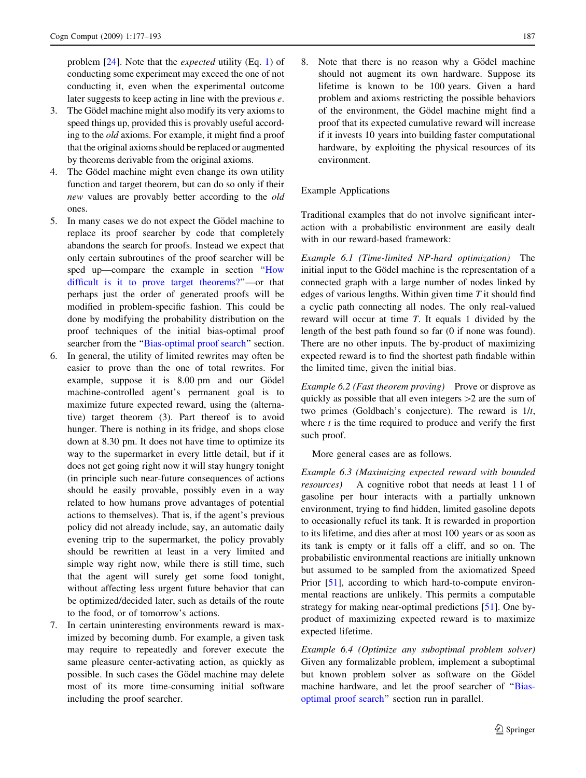problem [\[24](#page-15-0)]. Note that the expected utility (Eq. [1](#page-2-0)) of conducting some experiment may exceed the one of not conducting it, even when the experimental outcome later suggests to keep acting in line with the previous e.

- 3. The Gödel machine might also modify its very axioms to speed things up, provided this is provably useful according to the old axioms. For example, it might find a proof that the original axioms should be replaced or augmented by theorems derivable from the original axioms.
- 4. The Gödel machine might even change its own utility function and target theorem, but can do so only if their new values are provably better according to the old ones.
- 5. In many cases we do not expect the Gödel machine to replace its proof searcher by code that completely abandons the search for proofs. Instead we expect that only certain subroutines of the proof searcher will be sped up—compare the example in section ''[How](#page-7-0) [difficult is it to prove target theorems?](#page-7-0)''—or that perhaps just the order of generated proofs will be modified in problem-specific fashion. This could be done by modifying the probability distribution on the proof techniques of the initial bias-optimal proof searcher from the "Bias-optimal proof search" section.
- 6. In general, the utility of limited rewrites may often be easier to prove than the one of total rewrites. For example, suppose it is 8.00 pm and our Gödel machine-controlled agent's permanent goal is to maximize future expected reward, using the (alternative) target theorem (3). Part thereof is to avoid hunger. There is nothing in its fridge, and shops close down at 8.30 pm. It does not have time to optimize its way to the supermarket in every little detail, but if it does not get going right now it will stay hungry tonight (in principle such near-future consequences of actions should be easily provable, possibly even in a way related to how humans prove advantages of potential actions to themselves). That is, if the agent's previous policy did not already include, say, an automatic daily evening trip to the supermarket, the policy provably should be rewritten at least in a very limited and simple way right now, while there is still time, such that the agent will surely get some food tonight, without affecting less urgent future behavior that can be optimized/decided later, such as details of the route to the food, or of tomorrow's actions.
- <span id="page-10-0"></span>7. In certain uninteresting environments reward is maximized by becoming dumb. For example, a given task may require to repeatedly and forever execute the same pleasure center-activating action, as quickly as possible. In such cases the Gödel machine may delete most of its more time-consuming initial software including the proof searcher.

8. Note that there is no reason why a Gödel machine should not augment its own hardware. Suppose its lifetime is known to be 100 years. Given a hard problem and axioms restricting the possible behaviors of the environment, the Gödel machine might find a proof that its expected cumulative reward will increase if it invests 10 years into building faster computational hardware, by exploiting the physical resources of its environment.

#### Example Applications

Traditional examples that do not involve significant interaction with a probabilistic environment are easily dealt with in our reward-based framework:

Example 6.1 (Time-limited NP-hard optimization) The initial input to the Gödel machine is the representation of a connected graph with a large number of nodes linked by edges of various lengths. Within given time  $T$  it should find a cyclic path connecting all nodes. The only real-valued reward will occur at time T. It equals 1 divided by the length of the best path found so far (0 if none was found). There are no other inputs. The by-product of maximizing expected reward is to find the shortest path findable within the limited time, given the initial bias.

Example 6.2 (Fast theorem proving) Prove or disprove as quickly as possible that all even integers  $>2$  are the sum of two primes (Goldbach's conjecture). The reward is 1/t, where  $t$  is the time required to produce and verify the first such proof.

More general cases are as follows.

Example 6.3 (Maximizing expected reward with bounded resources) A cognitive robot that needs at least 1 l of gasoline per hour interacts with a partially unknown environment, trying to find hidden, limited gasoline depots to occasionally refuel its tank. It is rewarded in proportion to its lifetime, and dies after at most 100 years or as soon as its tank is empty or it falls off a cliff, and so on. The probabilistic environmental reactions are initially unknown but assumed to be sampled from the axiomatized Speed Prior [[51\]](#page-15-0), according to which hard-to-compute environmental reactions are unlikely. This permits a computable strategy for making near-optimal predictions [[51\]](#page-15-0). One byproduct of maximizing expected reward is to maximize expected lifetime.

Example 6.4 (Optimize any suboptimal problem solver) Given any formalizable problem, implement a suboptimal but known problem solver as software on the Gödel machine hardware, and let the proof searcher of '['Bias](#page-8-0)[optimal proof search'](#page-8-0)' section run in parallel.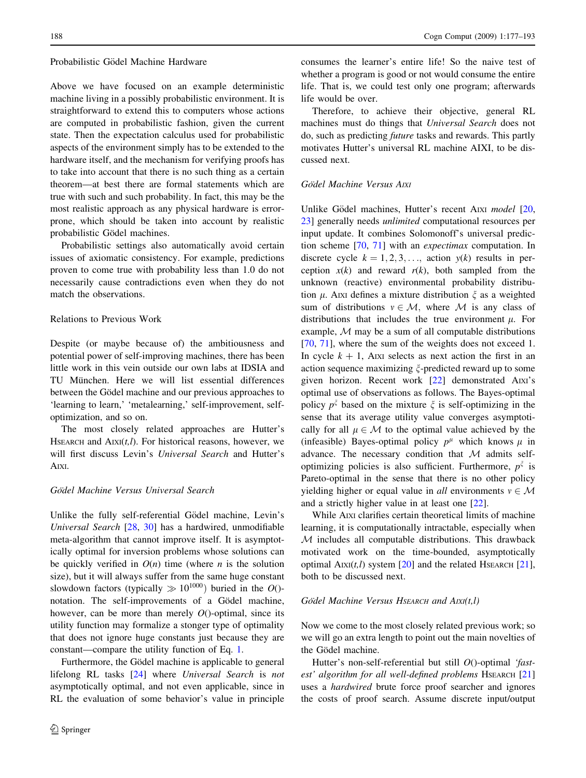#### Probabilistic Gödel Machine Hardware

Above we have focused on an example deterministic machine living in a possibly probabilistic environment. It is straightforward to extend this to computers whose actions are computed in probabilistic fashion, given the current state. Then the expectation calculus used for probabilistic aspects of the environment simply has to be extended to the hardware itself, and the mechanism for verifying proofs has to take into account that there is no such thing as a certain theorem—at best there are formal statements which are true with such and such probability. In fact, this may be the most realistic approach as any physical hardware is errorprone, which should be taken into account by realistic probabilistic Gödel machines.

Probabilistic settings also automatically avoid certain issues of axiomatic consistency. For example, predictions proven to come true with probability less than 1.0 do not necessarily cause contradictions even when they do not match the observations.

# Relations to Previous Work

Despite (or maybe because of) the ambitiousness and potential power of self-improving machines, there has been little work in this vein outside our own labs at IDSIA and TU München. Here we will list essential differences between the Gödel machine and our previous approaches to 'learning to learn,' 'metalearning,' self-improvement, selfoptimization, and so on.

The most closely related approaches are Hutter's HSEARCH and  $AIXI(t,l)$ . For historical reasons, however, we will first discuss Levin's Universal Search and Hutter's AIXI.

# Gödel Machine Versus Universal Search

Unlike the fully self-referential Gödel machine, Levin's Universal Search [[28,](#page-15-0) [30](#page-15-0)] has a hardwired, unmodifiable meta-algorithm that cannot improve itself. It is asymptotically optimal for inversion problems whose solutions can be quickly verified in  $O(n)$  time (where *n* is the solution size), but it will always suffer from the same huge constant slowdown factors (typically  $\gg 10^{1000}$ ) buried in the O()notation. The self-improvements of a Gödel machine, however, can be more than merely  $O($ )-optimal, since its utility function may formalize a stonger type of optimality that does not ignore huge constants just because they are constant—compare the utility function of Eq. [1](#page-2-0).

<span id="page-11-0"></span>Furthermore, the Gödel machine is applicable to general lifelong RL tasks [[24\]](#page-15-0) where Universal Search is not asymptotically optimal, and not even applicable, since in RL the evaluation of some behavior's value in principle consumes the learner's entire life! So the naive test of whether a program is good or not would consume the entire life. That is, we could test only one program; afterwards life would be over.

Therefore, to achieve their objective, general RL machines must do things that Universal Search does not do, such as predicting future tasks and rewards. This partly motivates Hutter's universal RL machine AIXI, to be discussed next.

# Gödel Machine Versus AIXI

Unlike Gödel machines, Hutter's recent AIXI model [[20,](#page-15-0) [23](#page-15-0)] generally needs unlimited computational resources per input update. It combines Solomonoff's universal prediction scheme [[70,](#page-16-0) [71\]](#page-16-0) with an expectimax computation. In discrete cycle  $k = 1, 2, 3, \ldots$ , action  $y(k)$  results in perception  $x(k)$  and reward  $r(k)$ , both sampled from the unknown (reactive) environmental probability distribution  $\mu$ . AIXI defines a mixture distribution  $\xi$  as a weighted sum of distributions  $v \in M$ , where M is any class of distributions that includes the true environment  $\mu$ . For example,  $M$  may be a sum of all computable distributions [\[70](#page-16-0), [71](#page-16-0)], where the sum of the weights does not exceed 1. In cycle  $k + 1$ , AIXI selects as next action the first in an action sequence maximizing  $\xi$ -predicted reward up to some given horizon. Recent work [[22\]](#page-15-0) demonstrated AIXI's optimal use of observations as follows. The Bayes-optimal policy  $p^{\xi}$  based on the mixture  $\xi$  is self-optimizing in the sense that its average utility value converges asymptotically for all  $\mu \in \mathcal{M}$  to the optimal value achieved by the (infeasible) Bayes-optimal policy  $p^{\mu}$  which knows  $\mu$  in advance. The necessary condition that  $M$  admits selfoptimizing policies is also sufficient. Furthermore,  $p^{\xi}$  is Pareto-optimal in the sense that there is no other policy yielding higher or equal value in *all* environments  $v \in M$ and a strictly higher value in at least one [\[22](#page-15-0)].

While AIXI clarifies certain theoretical limits of machine learning, it is computationally intractable, especially when  $M$  includes all computable distributions. This drawback motivated work on the time-bounded, asymptotically optimal AIXI(*t*,*l*) system [\[20](#page-15-0)] and the related HSEARCH [\[21](#page-15-0)], both to be discussed next.

#### Gödel Machine Versus HSEARCH and  $AIXI(t, l)$

Now we come to the most closely related previous work; so we will go an extra length to point out the main novelties of the Gödel machine.

Hutter's non-self-referential but still  $O()$ -optimal 'fast-est' algorithm for all well-defined problems HSEARCH [[21\]](#page-15-0) uses a hardwired brute force proof searcher and ignores the costs of proof search. Assume discrete input/output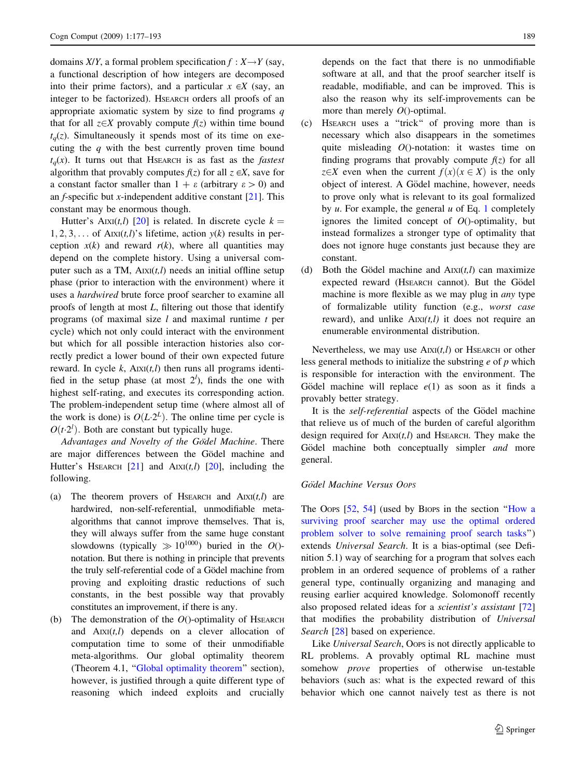domains X/Y, a formal problem specification  $f : X \rightarrow Y$  (say, a functional description of how integers are decomposed into their prime factors), and a particular  $x \in X$  (say, an integer to be factorized). HSEARCH orders all proofs of an appropriate axiomatic system by size to find programs  $q$ that for all  $z \in X$  provably compute  $f(z)$  within time bound  $t<sub>a</sub>(z)$ . Simultaneously it spends most of its time on executing the q with the best currently proven time bound  $t<sub>a</sub>(x)$ . It turns out that HSEARCH is as fast as the *fastest* algorithm that provably computes  $f(z)$  for all  $z \in X$ , save for a constant factor smaller than  $1 + \varepsilon$  (arbitrary  $\varepsilon > 0$ ) and an *f*-specific but *x*-independent additive constant  $[21]$  $[21]$ . This constant may be enormous though.

Hutter's AIXI(t,l) [\[20](#page-15-0)] is related. In discrete cycle  $k =$  $1, 2, 3, \ldots$  of AIXI $(t, l)$ 's lifetime, action  $y(k)$  results in perception  $x(k)$  and reward  $r(k)$ , where all quantities may depend on the complete history. Using a universal computer such as a TM,  $AIXI(t, l)$  needs an initial offline setup phase (prior to interaction with the environment) where it uses a hardwired brute force proof searcher to examine all proofs of length at most L, filtering out those that identify programs (of maximal size  $l$  and maximal runtime  $t$  per cycle) which not only could interact with the environment but which for all possible interaction histories also correctly predict a lower bound of their own expected future reward. In cycle k,  $AIXI(t, l)$  then runs all programs identified in the setup phase (at most  $2<sup>l</sup>$ ), finds the one with highest self-rating, and executes its corresponding action. The problem-independent setup time (where almost all of the work is done) is  $O(L \cdot 2^L)$ . The online time per cycle is  $O(t \cdot 2^l)$ . Both are constant but typically huge.

Advantages and Novelty of the Gödel Machine. There are major differences between the Gödel machine and Hutter's HSEARCH  $[21]$  $[21]$  and AIXI(t,l)  $[20]$  $[20]$ , including the following.

- (a) The theorem provers of HSEARCH and  $AIXI(t,l)$  are hardwired, non-self-referential, unmodifiable metaalgorithms that cannot improve themselves. That is, they will always suffer from the same huge constant slowdowns (typically  $\gg 10^{1000}$ ) buried in the O()notation. But there is nothing in principle that prevents the truly self-referential code of a Gödel machine from proving and exploiting drastic reductions of such constants, in the best possible way that provably constitutes an improvement, if there is any.
- (b) The demonstration of the  $O($ -optimality of HSEARCH and  $AIXI(t,l)$  depends on a clever allocation of computation time to some of their unmodifiable meta-algorithms. Our global optimality theorem (Theorem 4.1, ''[Global optimality theorem](#page-6-0)'' section), however, is justified through a quite different type of reasoning which indeed exploits and crucially

depends on the fact that there is no unmodifiable software at all, and that the proof searcher itself is readable, modifiable, and can be improved. This is also the reason why its self-improvements can be more than merely  $O($ )-optimal.

- (c) HSEARCH uses a ''trick'' of proving more than is necessary which also disappears in the sometimes quite misleading  $O($ )-notation: it wastes time on finding programs that provably compute  $f(z)$  for all  $z \in X$  even when the current  $f(x)(x \in X)$  is the only object of interest. A Gödel machine, however, needs to prove only what is relevant to its goal formalized by  $u$ . For example, the general  $u$  of Eq. [1](#page-2-0) completely ignores the limited concept of  $O($ )-optimality, but instead formalizes a stronger type of optimality that does not ignore huge constants just because they are constant.
- (d) Both the Gödel machine and  $A_{IX}I(t,l)$  can maximize expected reward (HSEARCH cannot). But the Gödel machine is more flexible as we may plug in any type of formalizable utility function (e.g., worst case reward), and unlike  $AIXI(t, l)$  it does not require an enumerable environmental distribution.

Nevertheless, we may use  $AIXI(t, l)$  or HSEARCH or other less general methods to initialize the substring  $e$  of  $p$  which is responsible for interaction with the environment. The Gödel machine will replace  $e(1)$  as soon as it finds a provably better strategy.

It is the self-referential aspects of the Gödel machine that relieve us of much of the burden of careful algorithm design required for  $AIXI(t,l)$  and HSEARCH. They make the Gödel machine both conceptually simpler *and* more general.

## Gödel Machine Versus Oops

The Oops [[52,](#page-16-0) [54\]](#page-16-0) (used by Biops in the section "[How a](#page-9-0) [surviving proof searcher may use the optimal ordered](#page-9-0) [problem solver to solve remaining proof search tasks](#page-9-0)'') extends Universal Search. It is a bias-optimal (see Definition 5.1) way of searching for a program that solves each problem in an ordered sequence of problems of a rather general type, continually organizing and managing and reusing earlier acquired knowledge. Solomonoff recently also proposed related ideas for a scientist's assistant [[72\]](#page-16-0) that modifies the probability distribution of Universal Search [[28\]](#page-15-0) based on experience.

Like Universal Search, Oops is not directly applicable to RL problems. A provably optimal RL machine must somehow prove properties of otherwise un-testable behaviors (such as: what is the expected reward of this behavior which one cannot naively test as there is not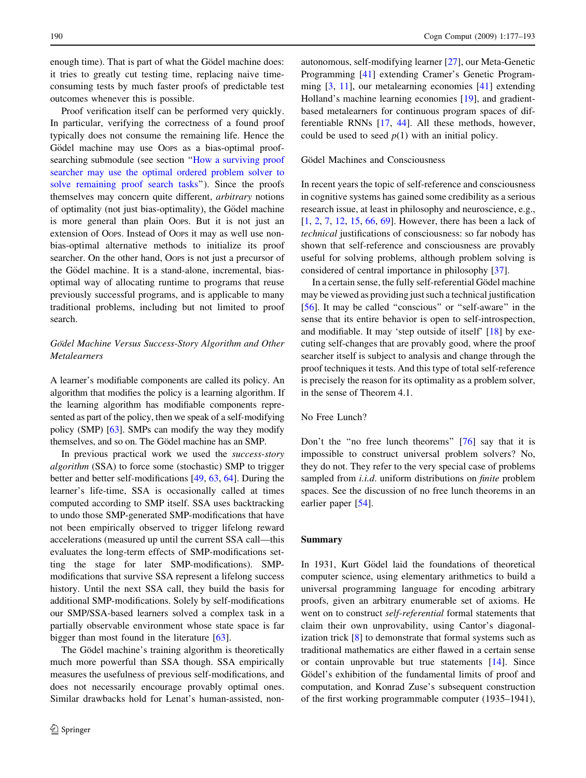enough time). That is part of what the Gödel machine does: it tries to greatly cut testing time, replacing naive timeconsuming tests by much faster proofs of predictable test outcomes whenever this is possible.

Proof verification itself can be performed very quickly. In particular, verifying the correctness of a found proof typically does not consume the remaining life. Hence the Gödel machine may use Oops as a bias-optimal proofsearching submodule (see section '['How a surviving proof](#page-9-0) [searcher may use the optimal ordered problem solver to](#page-9-0) [solve remaining proof search tasks'](#page-9-0)'). Since the proofs themselves may concern quite different, arbitrary notions of optimality (not just bias-optimality), the Gödel machine is more general than plain OOPS. But it is not just an extension of OOPS. Instead of OOPS it may as well use nonbias-optimal alternative methods to initialize its proof searcher. On the other hand, OOPS is not just a precursor of the Gödel machine. It is a stand-alone, incremental, biasoptimal way of allocating runtime to programs that reuse previously successful programs, and is applicable to many traditional problems, including but not limited to proof search.

# Gödel Machine Versus Success-Story Algorithm and Other Metalearners

A learner's modifiable components are called its policy. An algorithm that modifies the policy is a learning algorithm. If the learning algorithm has modifiable components represented as part of the policy, then we speak of a self-modifying policy (SMP) [\[63](#page-16-0)]. SMPs can modify the way they modify themselves, and so on. The Gödel machine has an SMP.

In previous practical work we used the success-story algorithm (SSA) to force some (stochastic) SMP to trigger better and better self-modifications [\[49](#page-15-0), [63](#page-16-0), [64](#page-16-0)]. During the learner's life-time, SSA is occasionally called at times computed according to SMP itself. SSA uses backtracking to undo those SMP-generated SMP-modifications that have not been empirically observed to trigger lifelong reward accelerations (measured up until the current SSA call—this evaluates the long-term effects of SMP-modifications setting the stage for later SMP-modifications). SMPmodifications that survive SSA represent a lifelong success history. Until the next SSA call, they build the basis for additional SMP-modifications. Solely by self-modifications our SMP/SSA-based learners solved a complex task in a partially observable environment whose state space is far bigger than most found in the literature [[63](#page-16-0)].

The Gödel machine's training algorithm is theoretically much more powerful than SSA though. SSA empirically measures the usefulness of previous self-modifications, and does not necessarily encourage provably optimal ones. Similar drawbacks hold for Lenat's human-assisted, nonautonomous, self-modifying learner [\[27](#page-15-0)], our Meta-Genetic Programming [[41\]](#page-15-0) extending Cramer's Genetic Programming [[3,](#page-14-0) [11](#page-15-0)], our metalearning economies [[41\]](#page-15-0) extending Holland's machine learning economies [\[19](#page-15-0)], and gradientbased metalearners for continuous program spaces of differentiable RNNs [\[17](#page-15-0), [44](#page-15-0)]. All these methods, however, could be used to seed  $p(1)$  with an initial policy.

# Gödel Machines and Consciousness

In recent years the topic of self-reference and consciousness in cognitive systems has gained some credibility as a serious research issue, at least in philosophy and neuroscience, e.g., [\[1](#page-14-0), [2,](#page-14-0) [7](#page-15-0), [12,](#page-15-0) [15](#page-15-0), [66,](#page-16-0) [69\]](#page-16-0). However, there has been a lack of technical justifications of consciousness: so far nobody has shown that self-reference and consciousness are provably useful for solving problems, although problem solving is considered of central importance in philosophy [[37\]](#page-15-0).

In a certain sense, the fully self-referential Gödel machine may be viewed as providing just such a technical justification [\[56](#page-16-0)]. It may be called ''conscious'' or ''self-aware'' in the sense that its entire behavior is open to self-introspection, and modifiable. It may 'step outside of itself' [\[18](#page-15-0)] by executing self-changes that are provably good, where the proof searcher itself is subject to analysis and change through the proof techniques it tests. And this type of total self-reference is precisely the reason for its optimality as a problem solver, in the sense of Theorem 4.1.

# No Free Lunch?

Don't the "no free lunch theorems" [\[76](#page-16-0)] say that it is impossible to construct universal problem solvers? No, they do not. They refer to the very special case of problems sampled from *i.i.d.* uniform distributions on *finite* problem spaces. See the discussion of no free lunch theorems in an earlier paper [\[54](#page-16-0)].

#### Summary

In 1931, Kurt Gödel laid the foundations of theoretical computer science, using elementary arithmetics to build a universal programming language for encoding arbitrary proofs, given an arbitrary enumerable set of axioms. He went on to construct self-referential formal statements that claim their own unprovability, using Cantor's diagonalization trick [[8](#page-15-0)] to demonstrate that formal systems such as traditional mathematics are either flawed in a certain sense or contain unprovable but true statements [[14](#page-15-0)]. Since Gödel's exhibition of the fundamental limits of proof and computation, and Konrad Zuse's subsequent construction of the first working programmable computer (1935–1941),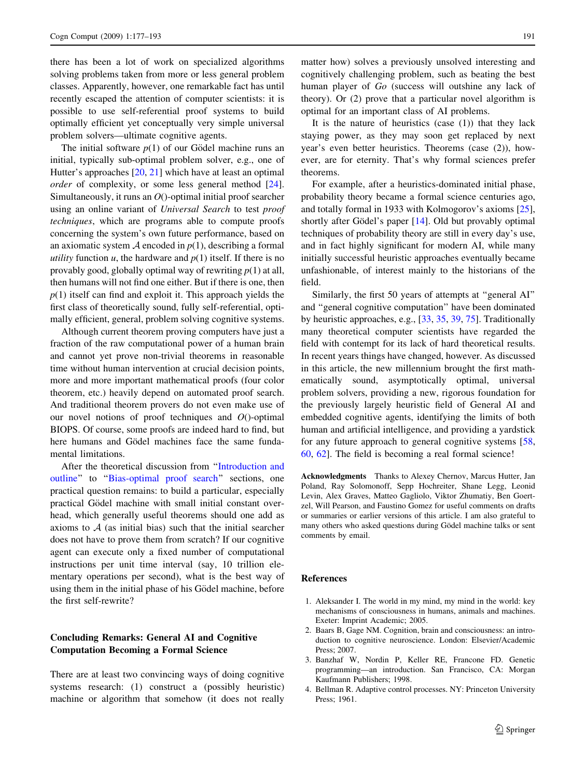there has been a lot of work on specialized algorithms solving problems taken from more or less general problem classes. Apparently, however, one remarkable fact has until recently escaped the attention of computer scientists: it is possible to use self-referential proof systems to build optimally efficient yet conceptually very simple universal problem solvers—ultimate cognitive agents.

The initial software  $p(1)$  of our Gödel machine runs an initial, typically sub-optimal problem solver, e.g., one of Hutter's approaches [\[20](#page-15-0), [21\]](#page-15-0) which have at least an optimal order of complexity, or some less general method [\[24](#page-15-0)]. Simultaneously, it runs an  $O($ )-optimal initial proof searcher using an online variant of Universal Search to test proof techniques, which are programs able to compute proofs concerning the system's own future performance, based on an axiomatic system  $A$  encoded in  $p(1)$ , describing a formal utility function u, the hardware and  $p(1)$  itself. If there is no provably good, globally optimal way of rewriting  $p(1)$  at all, then humans will not find one either. But if there is one, then  $p(1)$  itself can find and exploit it. This approach yields the first class of theoretically sound, fully self-referential, optimally efficient, general, problem solving cognitive systems.

Although current theorem proving computers have just a fraction of the raw computational power of a human brain and cannot yet prove non-trivial theorems in reasonable time without human intervention at crucial decision points, more and more important mathematical proofs (four color theorem, etc.) heavily depend on automated proof search. And traditional theorem provers do not even make use of our novel notions of proof techniques and  $O($ )-optimal BIOPS. Of course, some proofs are indeed hard to find, but here humans and Gödel machines face the same fundamental limitations.

After the theoretical discussion from ''[Introduction and](#page-0-0) outline" to "Bias-optimal proof search" sections, one practical question remains: to build a particular, especially practical Gödel machine with small initial constant overhead, which generally useful theorems should one add as axioms to  $A$  (as initial bias) such that the initial searcher does not have to prove them from scratch? If our cognitive agent can execute only a fixed number of computational instructions per unit time interval (say, 10 trillion elementary operations per second), what is the best way of using them in the initial phase of his Gödel machine, before the first self-rewrite?

# Concluding Remarks: General AI and Cognitive Computation Becoming a Formal Science

<span id="page-14-0"></span>There are at least two convincing ways of doing cognitive systems research: (1) construct a (possibly heuristic) machine or algorithm that somehow (it does not really matter how) solves a previously unsolved interesting and cognitively challenging problem, such as beating the best human player of Go (success will outshine any lack of theory). Or (2) prove that a particular novel algorithm is optimal for an important class of AI problems.

It is the nature of heuristics (case  $(1)$ ) that they lack staying power, as they may soon get replaced by next year's even better heuristics. Theorems (case (2)), however, are for eternity. That's why formal sciences prefer theorems.

For example, after a heuristics-dominated initial phase, probability theory became a formal science centuries ago, and totally formal in 1933 with Kolmogorov's axioms [\[25](#page-15-0)], shortly after Gödel's paper  $[14]$  $[14]$ . Old but provably optimal techniques of probability theory are still in every day's use, and in fact highly significant for modern AI, while many initially successful heuristic approaches eventually became unfashionable, of interest mainly to the historians of the field.

Similarly, the first 50 years of attempts at ''general AI'' and ''general cognitive computation'' have been dominated by heuristic approaches, e.g., [[33,](#page-15-0) [35](#page-15-0), [39,](#page-15-0) [75](#page-16-0)]. Traditionally many theoretical computer scientists have regarded the field with contempt for its lack of hard theoretical results. In recent years things have changed, however. As discussed in this article, the new millennium brought the first mathematically sound, asymptotically optimal, universal problem solvers, providing a new, rigorous foundation for the previously largely heuristic field of General AI and embedded cognitive agents, identifying the limits of both human and artificial intelligence, and providing a yardstick for any future approach to general cognitive systems [[58,](#page-16-0) [60](#page-16-0), [62\]](#page-16-0). The field is becoming a real formal science!

Acknowledgments Thanks to Alexey Chernov, Marcus Hutter, Jan Poland, Ray Solomonoff, Sepp Hochreiter, Shane Legg, Leonid Levin, Alex Graves, Matteo Gagliolo, Viktor Zhumatiy, Ben Goertzel, Will Pearson, and Faustino Gomez for useful comments on drafts or summaries or earlier versions of this article. I am also grateful to many others who asked questions during Gödel machine talks or sent comments by email.

# References

- 1. Aleksander I. The world in my mind, my mind in the world: key mechanisms of consciousness in humans, animals and machines. Exeter: Imprint Academic; 2005.
- 2. Baars B, Gage NM. Cognition, brain and consciousness: an introduction to cognitive neuroscience. London: Elsevier/Academic Press; 2007.
- 3. Banzhaf W, Nordin P, Keller RE, Francone FD. Genetic programming—an introduction. San Francisco, CA: Morgan Kaufmann Publishers; 1998.
- 4. Bellman R. Adaptive control processes. NY: Princeton University Press; 1961.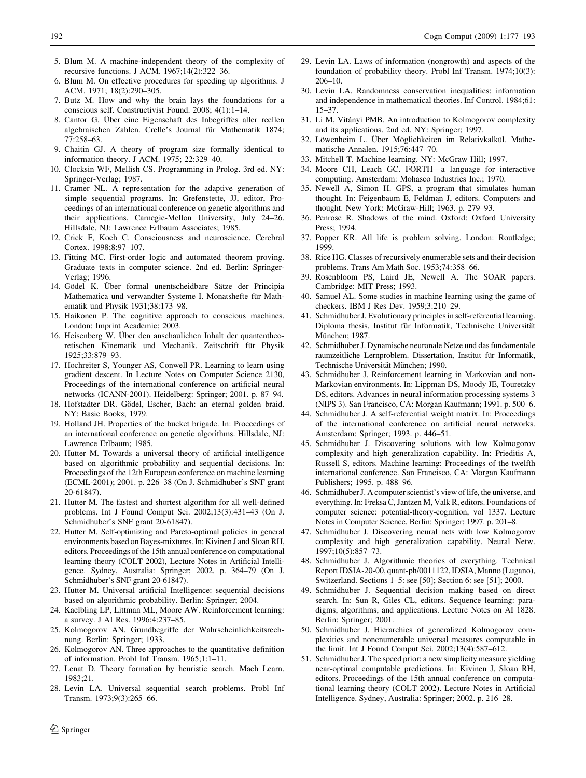- 5. Blum M. A machine-independent theory of the complexity of recursive functions. J ACM. 1967;14(2):322–36.
- 6. Blum M. On effective procedures for speeding up algorithms. J ACM. 1971; 18(2):290–305.
- 7. Butz M. How and why the brain lays the foundations for a conscious self. Constructivist Found. 2008; 4(1):1–14.
- 8. Cantor G. Über eine Eigenschaft des Inbegriffes aller reellen algebraischen Zahlen. Crelle's Journal für Mathematik 1874; 77:258–63.
- 9. Chaitin GJ. A theory of program size formally identical to information theory. J ACM. 1975; 22:329–40.
- 10. Clocksin WF, Mellish CS. Programming in Prolog. 3rd ed. NY: Springer-Verlag; 1987.
- 11. Cramer NL. A representation for the adaptive generation of simple sequential programs. In: Grefenstette, JJ, editor, Proceedings of an international conference on genetic algorithms and their applications, Carnegie-Mellon University, July 24–26. Hillsdale, NJ: Lawrence Erlbaum Associates; 1985.
- 12. Crick F, Koch C. Consciousness and neuroscience. Cerebral Cortex. 1998;8:97–107.
- 13. Fitting MC. First-order logic and automated theorem proving. Graduate texts in computer science. 2nd ed. Berlin: Springer-Verlag; 1996.
- 14. Gödel K. Über formal unentscheidbare Sätze der Principia Mathematica und verwandter Systeme I. Monatshefte für Mathematik und Physik 1931;38:173–98.
- 15. Haikonen P. The cognitive approach to conscious machines. London: Imprint Academic; 2003.
- 16. Heisenberg W. Über den anschaulichen Inhalt der quantentheoretischen Kinematik und Mechanik. Zeitschrift für Physik 1925;33:879–93.
- 17. Hochreiter S, Younger AS, Conwell PR. Learning to learn using gradient descent. In Lecture Notes on Computer Science 2130, Proceedings of the international conference on artificial neural networks (ICANN-2001). Heidelberg: Springer; 2001. p. 87–94.
- 18. Hofstadter DR. Gödel, Escher, Bach: an eternal golden braid. NY: Basic Books; 1979.
- 19. Holland JH. Properties of the bucket brigade. In: Proceedings of an international conference on genetic algorithms. Hillsdale, NJ: Lawrence Erlbaum; 1985.
- 20. Hutter M. Towards a universal theory of artificial intelligence based on algorithmic probability and sequential decisions. In: Proceedings of the 12th European conference on machine learning (ECML-2001); 2001. p. 226–38 (On J. Schmidhuber's SNF grant 20-61847).
- 21. Hutter M. The fastest and shortest algorithm for all well-defined problems. Int J Found Comput Sci. 2002;13(3):431–43 (On J. Schmidhuber's SNF grant 20-61847).
- 22. Hutter M. Self-optimizing and Pareto-optimal policies in general environments based on Bayes-mixtures. In: Kivinen J and Sloan RH, editors. Proceedings of the 15th annual conference on computational learning theory (COLT 2002), Lecture Notes in Artificial Intelligence. Sydney, Australia: Springer; 2002. p. 364–79 (On J. Schmidhuber's SNF grant 20-61847).
- 23. Hutter M. Universal artificial Intelligence: sequential decisions based on algorithmic probability. Berlin: Springer; 2004.
- 24. Kaelbling LP, Littman ML, Moore AW. Reinforcement learning: a survey. J AI Res. 1996;4:237–85.
- 25. Kolmogorov AN. Grundbegriffe der Wahrscheinlichkeitsrechnung. Berlin: Springer; 1933.
- 26. Kolmogorov AN. Three approaches to the quantitative definition of information. Probl Inf Transm. 1965;1:1–11.
- 27. Lenat D. Theory formation by heuristic search. Mach Learn. 1983;21.
- <span id="page-15-0"></span>28. Levin LA. Universal sequential search problems. Probl Inf Transm. 1973;9(3):265–66.
- 29. Levin LA. Laws of information (nongrowth) and aspects of the foundation of probability theory. Probl Inf Transm. 1974;10(3): 206–10.
- 30. Levin LA. Randomness conservation inequalities: information and independence in mathematical theories. Inf Control. 1984;61: 15–37.
- 31. Li M, Vitányi PMB. An introduction to Kolmogorov complexity and its applications. 2nd ed. NY: Springer; 1997.
- 32. Löwenheim L. Über Möglichkeiten im Relativkalkül. Mathematische Annalen. 1915;76:447–70.
- 33. Mitchell T. Machine learning. NY: McGraw Hill; 1997.
- 34. Moore CH, Leach GC. FORTH—a language for interactive computing. Amsterdam: Mohasco Industries Inc.; 1970.
- 35. Newell A, Simon H. GPS, a program that simulates human thought. In: Feigenbaum E, Feldman J, editors. Computers and thought. New York: McGraw-Hill; 1963. p. 279–93.
- 36. Penrose R. Shadows of the mind. Oxford: Oxford University Press; 1994.
- 37. Popper KR. All life is problem solving. London: Routledge; 1999.
- 38. Rice HG. Classes of recursively enumerable sets and their decision problems. Trans Am Math Soc. 1953;74:358–66.
- 39. Rosenbloom PS, Laird JE, Newell A. The SOAR papers. Cambridge: MIT Press; 1993.
- 40. Samuel AL. Some studies in machine learning using the game of checkers. IBM J Res Dev. 1959;3:210–29.
- 41. Schmidhuber J. Evolutionary principles in self-referential learning. Diploma thesis, Institut für Informatik, Technische Universität München: 1987.
- 42. Schmidhuber J. Dynamische neuronale Netze und das fundamentale raumzeitliche Lernproblem. Dissertation, Institut für Informatik, Technische Universität München; 1990.
- 43. Schmidhuber J. Reinforcement learning in Markovian and non-Markovian environments. In: Lippman DS, Moody JE, Touretzky DS, editors. Advances in neural information processing systems 3 (NIPS 3). San Francisco, CA: Morgan Kaufmann; 1991. p. 500–6.
- 44. Schmidhuber J. A self-referential weight matrix. In: Proceedings of the international conference on artificial neural networks. Amsterdam: Springer; 1993. p. 446–51.
- 45. Schmidhuber J. Discovering solutions with low Kolmogorov complexity and high generalization capability. In: Prieditis A, Russell S, editors. Machine learning: Proceedings of the twelfth international conference. San Francisco, CA: Morgan Kaufmann Publishers; 1995. p. 488–96.
- 46. Schmidhuber J. A computer scientist's view of life, the universe, and everything. In: Freksa C, Jantzen M, Valk R, editors. Foundations of computer science: potential-theory-cognition, vol 1337. Lecture Notes in Computer Science. Berlin: Springer; 1997. p. 201–8.
- 47. Schmidhuber J. Discovering neural nets with low Kolmogorov complexity and high generalization capability. Neural Netw. 1997;10(5):857–73.
- 48. Schmidhuber J. Algorithmic theories of everything. Technical Report IDSIA-20-00, quant-ph/0011122, IDSIA, Manno (Lugano), Switzerland. Sections 1–5: see [50]; Section 6: see [51]; 2000.
- 49. Schmidhuber J. Sequential decision making based on direct search. In: Sun R, Giles CL, editors. Sequence learning: paradigms, algorithms, and applications. Lecture Notes on AI 1828. Berlin: Springer; 2001.
- 50. Schmidhuber J. Hierarchies of generalized Kolmogorov complexities and nonenumerable universal measures computable in the limit. Int J Found Comput Sci. 2002;13(4):587–612.
- 51. Schmidhuber J. The speed prior: a new simplicity measure yielding near-optimal computable predictions. In: Kivinen J, Sloan RH, editors. Proceedings of the 15th annual conference on computational learning theory (COLT 2002). Lecture Notes in Artificial Intelligence. Sydney, Australia: Springer; 2002. p. 216–28.